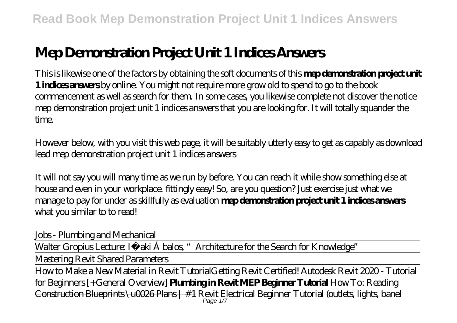# **Mep Demonstration Project Unit 1 Indices Answers**

This is likewise one of the factors by obtaining the soft documents of this **mep demonstration project unit 1 indices answers** by online. You might not require more grow old to spend to go to the book commencement as well as search for them. In some cases, you likewise complete not discover the notice mep demonstration project unit 1 indices answers that you are looking for. It will totally squander the time.

However below, with you visit this web page, it will be suitably utterly easy to get as capably as download lead mep demonstration project unit 1 indices answers

It will not say you will many time as we run by before. You can reach it while show something else at house and even in your workplace. fittingly easy! So, are you question? Just exercise just what we manage to pay for under as skillfully as evaluation **mep demonstration project unit 1 indices answers** what you similar to to read!

*Jobs - Plumbing and Mechanical*

Walter Gropius Lecture: Iñ aki Á balos, "Architecture for the Search for Knowledge"

Mastering Revit Shared Parameters

How to Make a New Material in Revit Tutorial*Getting Revit Certified! Autodesk Revit 2020 - Tutorial for Beginners [+General Overview]* **Plumbing in Revit MEP Beginner Tutorial** How To: Reading  $\frac{\text{Corstrution} \text{Bheprints} \setminus \text{uO26} \text{Plars} + \#1 \text{ Revit Electrical} \text{Beginner Tutorial (outlets, lights, band)} }{ \text{Page 1/7} }$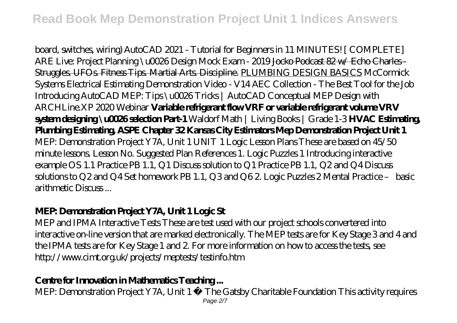board, switches, wiring) AutoCAD 2021 - Tutorial for Beginners in 11 MINUTES! [ COMPLETE] *ARE Live: Project Planning \u0026 Design Mock Exam - 2019* Jocko Podcast 82 w/ Echo Charles - Struggles. UFOs. Fitness Tips. Martial Arts. Discipline. PLUMBING DESIGN BASICS McCormick Systems Electrical Estimating Demonstration Video - V14 AEC Collection - The Best Tool for the Job Introducing AutoCAD MEP: Tips \u0026 Tricks | AutoCAD Conceptual MEP Design with ARCHLine.XP 2020 Webinar **Variable refrigerant flow VRF or variable refrigerant volume VRV system designing \u0026 selection Part-1** *Waldorf Math | Living Books | Grade 1-3* **HVAC Estimating, Plumbing Estimating, ASPE Chapter 32 Kansas City Estimators Mep Demonstration Project Unit 1** MEP: Demonstration Project Y7A, Unit 1 UNIT 1 Logic Lesson Plans These are based on 45/50 minute lessons. Lesson No. Suggested Plan References 1. Logic Puzzles 1 Introducing interactive example OS 1.1 Practice PB 1.1, Q1 Discuss solution to Q1 Practice PB 1.1, Q2 and Q4 Discuss solutions to Q2 and Q4 Set homework PB 1.1, Q3 and Q6 2. Logic Puzzles 2 Mental Practice – basic arithmetic Discuss ...

#### **MEP: Demonstration Project Y7A, Unit 1 Logic St**

MEP and IPMA Interactive Tests These are test used with our project schools convertered into interactive on-line version that are marked electronically. The MEP tests are for Key Stage 3 and 4 and the IPMA tests are for Key Stage 1 and 2. For more information on how to access the tests, see http://www.cimt.org.uk/projects/meptests/testinfo.htm

#### **Centre for Innovation in Mathematics Teaching ...**

MEP: Demonstration Project Y7A, Unit 1 © The Gatsby Charitable Foundation This activity requires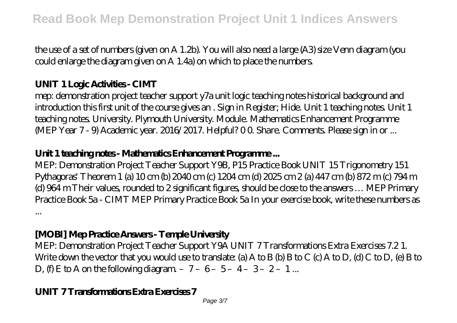the use of a set of numbers (given on A 1.2b). You will also need a large (A3) size Venn diagram (you could enlarge the diagram given on A 1.4a) on which to place the numbers.

# **UNIT 1 Logic Activities - CIMT**

mep: demonstration project teacher support y7a unit logic teaching notes historical background and introduction this first unit of the course gives an . Sign in Register; Hide. Unit 1 teaching notes. Unit 1 teaching notes. University. Plymouth University. Module. Mathematics Enhancement Programme (MEP Year 7 - 9) Academic year. 2016/2017. Helpful? 00 Share. Comments. Please sign in or ...

# **Unit 1 teaching notes - Mathematics Enhancement Programme ...**

MEP: Demonstration Project Teacher Support Y9B, P15 Practice Book UNIT 15 Trigonometry 151 Pythagoras' Theorem 1 (a) 10 cm (b) 2040 cm (c) 1204 cm (d) 2025 cm 2 (a) 447 cm (b) 872 m (c) 794 m (d)  $964$  m Their values, rounded to 2 significant figures, should be close to the answers  $\dots$  MEP Primary Practice Book 5a - CIMT MEP Primary Practice Book 5a In your exercise book, write these numbers as ...

# **[MOBI] Mep Practice Answers - Temple University**

MEP: Demonstration Project Teacher Support Y9A UNIT 7 Transformations Extra Exercises 7.2 1. Write down the vector that you would use to translate: (a) A to B (b) B to C (c) A to D, (d) C to D, (e) B to D,  $f(x) \to 0$  on the following diagram - 7-6-5-4-3-2-1...

#### **UNIT 7 Transformations Extra Exercises 7**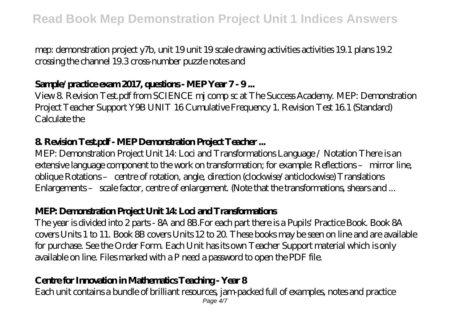mep: demonstration project y7b, unit 19 unit 19 scale drawing activities activities 19.1 plans 19.2 crossing the channel 19.3 cross-number puzzle notes and

### **Sample/practice exam 2017, questions - MEP Year 7 - 9 ...**

View 8. Revision Test.pdf from SCIENCE mj comp sc at The Success Academy. MEP: Demonstration Project Teacher Support Y9B UNIT 16 Cumulative Frequency 1. Revision Test 16.1 (Standard)  $Calc$  ulate the

#### **8. Revision Test.pdf - MEP Demonstration Project Teacher ...**

MEP: Demonstration Project Unit 14: Loci and Transformations Language / Notation There is an extensive language component to the work on transformation; for example: Reflections – mirror line, oblique Rotations – centre of rotation, angle, direction (clockwise/anticlockwise) Translations Enlargements – scale factor, centre of enlargement. (Note that the transformations, shears and ...

# **MEP: Demonstration Project Unit 14: Loci and Transformations**

The year is divided into 2 parts - 8A and 8B.For each part there is a Pupils' Practice Book. Book 8A covers Units 1 to 11. Book 8B covers Units 12 to 20. These books may be seen on line and are available for purchase. See the Order Form. Each Unit has its own Teacher Support material which is only available on line. Files marked with a P need a password to open the PDF file.

# **Centre for Innovation in Mathematics Teaching - Year 8**

Each unit contains a bundle of brilliant resources, jam-packed full of examples, notes and practice Page  $4/7$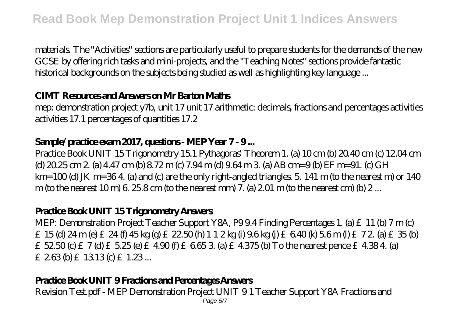materials. The "Activities" sections are particularly useful to prepare students for the demands of the new GCSE by offering rich tasks and mini-projects, and the "Teaching Notes" sections provide fantastic historical backgrounds on the subjects being studied as well as highlighting key language ...

#### **CIMT Resources and Answers on Mr Barton Maths**

mep: demonstration project y7b, unit 17 unit 17 arithmetic: decimals, fractions and percentages activities activities 17.1 percentages of quantities 17.2

#### **Sample/practice exam 2017, questions - MEP Year 7 - 9 ...**

Practice Book UNIT 15 Trigonometry 15.1 Pythagoras' Theorem 1. (a) 10 cm (b) 20.40 cm (c) 12.04 cm  $(d)$  20.25 cm 2. (a) 4.47 cm (b)  $8.72$  m (c)  $7.94$  m (d)  $9.64$  m 3. (a) AB cm=9 (b) EF m=91. (c) GH  $km=100$  (d) JK m=364 (a) and (c) are the only right-angled triangles. 5, 141 m (to the nearest m) or 140 m (to the nearest 10 m)  $6.258$  cm (to the nearest mm) 7. (a) 2.01 m (to the nearest cm) (b) 2...

#### **Practice Book UNIT 15 Trigonometry Answers**

MEP: Demonstration Project Teacher Support Y8A, P99.4 Finding Percentages 1. (a) £11 (b) 7 m (c) £ 15 (d)  $24 \text{ m}$  (e) £  $24 \text{ ft}$  45 kg (g) £  $22.50 \text{ ft}$ ) 1 1  $2 \text{ kg}$  (i)  $9.6 \text{ kg}$  (i) £ 6.40 (k) 5.6 m (l) £ 7  $2$  (a) £ 35 (b) £  $52.50$  (c) £  $7$  (d)  $£$   $5.25$  (e)  $£$   $4.90$  (f)  $£$   $6.65$   $3$  (a)  $£$   $4.375$  (b) To the nearest pence  $£$   $4.384$  (a) £ 263 (b) £ 13.13 (c) £ 1.23 ...

#### **Practice Book UNIT 9 Fractions and Percentages Answers**

Revision Test.pdf - MEP Demonstration Project UNIT 9 1 Teacher Support Y8A Fractions and Page 5/7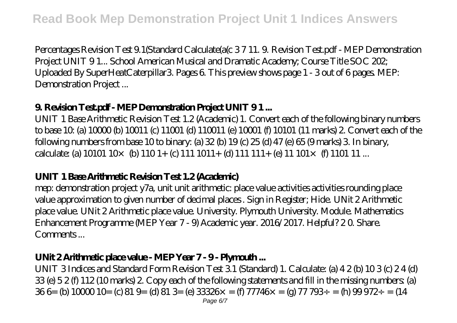Percentages Revision Test 9.1(Standard Calculate(a(c 3 7 11. 9. Revision Test.pdf - MEP Demonstration Project UNIT 9 1... School American Musical and Dramatic Academy; Course Title SOC 202; Uploaded By SuperHeatCaterpillar3. Pages 6. This preview shows page 1 - 3 out of 6 pages. MEP: Demonstration Project ...

# **9. Revision Test.pdf - MEP Demonstration Project UNIT 9 1 ...**

UNIT 1 Base Arithmetic Revision Test 1.2 (Academic) 1. Convert each of the following binary numbers to base 10: (a) 10000 (b) 10011 (c) 11001 (d) 110011 (e) 10001 (f) 10101 (11 marks) 2. Convert each of the following numbers from base 10 to binary: (a) 32 (b) 19 (c) 25 (d) 47 (e) 65 (9 marks) 3. In binary, calculate: (a)  $10101 10 \times 1011 + 1011 + 1011 + 1011 + 1011 + 101 \times 10111...$ 

# **UNIT 1 Base Arithmetic Revision Test 1.2 (Academic)**

mep: demonstration project y7a, unit unit arithmetic: place value activities activities rounding place value approximation to given number of decimal places . Sign in Register; Hide. UNit 2 Arithmetic place value. UNit 2 Arithmetic place value. University. Plymouth University. Module. Mathematics Enhancement Programme (MEP Year 7 - 9) Academic year. 2016/2017. Helpful? 2 0. Share. Comments...

#### **UNit 2 Arithmetic place value - MEP Year 7 - 9 - Plymouth ...**

UNIT 3 Indices and Standard Form Revision Test 3.1 (Standard) 1. Calculate: (a) 4 2 (b) 10 3 (c) 2 4 (d)  $33$  (e)  $52$  (f)  $112$  (10 marks) 2. Copy each of the following statements and fill in the missing numbers: (a) 36 6= (b)  $1000010$ = (c)  $819$ = (d)  $813$ = (e)  $33326$ × = (f)  $77746$ × = (g)  $77793$ ÷ = (h)  $99972$  $\div$  = (14